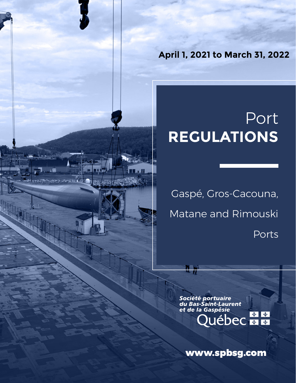**April 1, 2021 to March 31, 2022**

# Port **REGULATIONS**

Gaspé, Gros-Cacouna, Matane and Rimouski Ports

وأناعيت وجو

*Société portuaire<br>du Bas-Saint-Laurent<br>et de la Gaspésie*  $\frac{1}{2}$ **Luébec + +** 

www.spbsg.com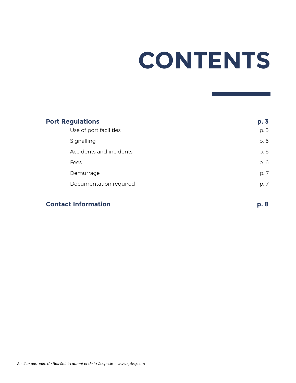# **CONTENTS**

| <b>Port Regulations</b> |                         | p.3  |
|-------------------------|-------------------------|------|
|                         | Use of port facilities  | p. 3 |
| Signalling              |                         | p. 6 |
|                         | Accidents and incidents | p. 6 |
| Fees                    |                         | p. 6 |
|                         | Demurrage               | p. 7 |
|                         | Documentation required  | p. 7 |
|                         |                         |      |

# **Contact Information p. 8**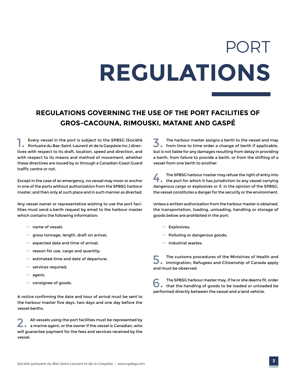# PORT **REGULATIONS**

# **REGULATIONS GOVERNING THE USE OF THE PORT FACILITIES OF GROS-CACOUNA, RIMOUSKI, MATANE AND GASPÉ**

1. Every vessel in the port is subject to the SPBSG (Société Portuaire du Bas-Saint-Laurent et de la Gaspésie inc.) directives with respect to its draft, location, speed and direction, and with respect to its means and method of movement, whether these directives are issued by or through a Canadian Coast Guard traffic centre or not.

Except in the case of an emergency, no vessel may moor or anchor in one of the ports without authorization from the SPBSG harbour master, and then only at such place and in such manner as directed.

Any vessel owner or representative wishing to use the port facilities must send a berth request by email to the harbour master which contains the following information:

- ¬ name of vessel;
- ¬ gross tonnage, length, draft on arrival;
- $\neg$  expected date and time of arrival;
- $\neg$  reason for use, cargo and quantity;
- $\neg$  estimated time and date of departure;
- $\neg$  services required:
- agent;
- $\neg$  consignee of goods.

A notice confirming the date and hour of arrival must be sent to the harbour master five days, two days and one day before the vessel berths.

2. All vessels using the port facilities must be represented by a marine agent, or the owner if the vessel is Canadian, who will guarantee payment for the fees and services received by the vessel.

3. The harbour master assigns a berth to the vessel and may from time to time order a change of berth if applicable, but is not liable for any damages resulting from delay in providing a berth, from failure to provide a berth, or from the shifting of a vessel from one berth to another.

The SPBSG harbour master may refuse the right of entry into<br>the port for which it has jurisdiction to any vessel carrying dangerous cargo or explosives or if, in the opinion of the SPBSG, the vessel constitutes a danger for the security or the environment.

Unless a written authorization from the harbour master is obtained, the transportation, loading, unloading, handling or storage of goods below are prohibited in the port:

- ¬ Explosives;
- ¬ Polluting or dangerous goods;
- $\neg$  Industrial wastes.

5. The customs procedures of the Ministries of Health and Immigration, Refugees and Citizenship of Canada apply and must be observed.

The SPBSG harbour master may, if he or she deems fit, order<br>
that the handling of goods to be loaded or unloaded be performed directly between the vessel and a land vehicle.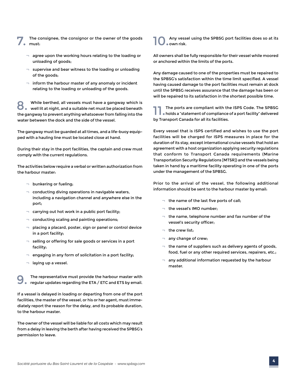- The consignee, the consignor or the owner of the goods must:
	- $\neg$  agree upon the working hours relating to the loading or unloading of goods;
	- $\neg$  supervise and bear witness to the loading or unloading of the goods;
	- $\lnot$  inform the harbour master of any anomaly or incident relating to the loading or unloading of the goods.

8. While berthed, all vessels must have a gangway which is well lit at night, and a suitable net must be placed beneath the gangway to prevent anything whatsoever from falling into the water between the dock and the side of the vessel.

The gangway must be guarded at all times, and a life-buoy equipped with a hauling line must be located close at hand.

During their stay in the port facilities, the captain and crew must comply with the current regulations.

The activities below require a verbal or written authorization from the harbour master:

- $\neg$  bunkering or fueling;
- $\lnot$  conducting diving operations in navigable waters, including a navigation channel and anywhere else in the port;
- $\lnot$  carrying out hot work in a public port facility;
- ¬ conducting scaling and painting operations;
- $\Box$  placing a placard, poster, sign or panel or control device in a port facility;
- $\lnot$  selling or offering for sale goods or services in a port facility;
- $\neg$  engaging in any form of solicitation in a port facility;
- $\neg$  laying up a vessel.

9. The representative must provide the harbour master with regular updates regarding the ETA / ETC and ETS by email.

If a vessel is delayed in loading or departing from one of the port facilities, the master of the vessel, or his or her agent, must immediately report the reason for the delay, and its probable duration, to the harbour master.

The owner of the vessel will be liable for all costs which may result from a delay in leaving the berth after having received the SPBSG's permission to leave.

#### Any vessel using the SPBSG port facilities does so at its own risk.

All owners shall be fully responsible for their vessel while moored or anchored within the limits of the ports.

Any damage caused to one of the properties must be repaired to the SPBSG's satisfaction within the time limit specified. A vessel having caused damage to the port facilities must remain at dock until the SPBSG receives assurance that the damage has been or will be repaired to its satisfaction in the shortest possible time.

The ports are compliant with the ISPS Code. The SPBSG holds a "statement of compliance of a port facility" delivered by Transport Canada for all its facilities.

Every vessel that is ISPS certified and wishes to use the port facilities will be charged for ISPS measures in place for the duration of its stay, except international cruise vessels that hold an agreement with a host organization applying security regulations that conform to Transport Canada requirements (Marine Transportation Security Regulations [MTSR]) and the vessels being taken in hand by a maritime facility operating in one of the ports under the management of the SPBSG.

Prior to the arrival of the vessel, the following additional information should be sent to the harbour master by email:

- $\neg$  the name of the last five ports of call:
- ¬ the vessel's IMO number;
- $\neg$  the name, telephone number and fax number of the vessel's security officer;
- $\neg$  the crew list:
- any change of crew;
- $\lnot$  the name of suppliers such as delivery agents of goods, food, fuel or any other required services, repairers, etc.;
- any additional information requested by the harbour master.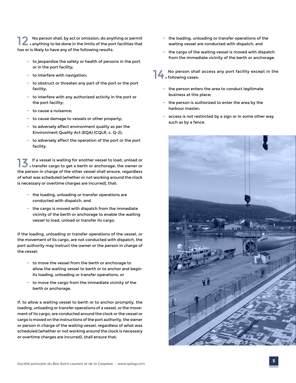12 No person shall, by act or omission, do anything or permit<br>anything to be done in the limits of the port facilities that has or is likely to have any of the following results:

- $\neg$  to jeopardize the safety or health of persons in the port or in the port facility;
- $\neg$  to interfere with navigation;
- $\lnot$  to obstruct or threaten any part of the port or the port facility;
- $\lnot$  to interfere with any authorized activity in the port or the port facility;
- ¬ to cause a nuisance;
- $\lnot$  to cause damage to vessels or other property;
- $\lnot$  to adversely affect environment quality as per the Environment Quality Act (EQA) (CQLR, c. Q-2);
- $\neg$  to adversely affect the operation of the port or the port facility.

13.If a vessel is waiting for another vessel to load, unload or transfer cargo to get a berth or anchorage, the owner or the person in charge of the other vessel shall ensure, regardless of what was scheduled (whether or not working around the clock is necessary or overtime charges are incurred), that:

- $\neg$  the loading, unloading or transfer operations are conducted with dispatch, and
- $\neg$  the cargo is moved with dispatch from the immediate vicinity of the berth or anchorage to enable the waiting vessel to load, unload or transfer its cargo.

If the loading, unloading or transfer operations of the vessel, or the movement of its cargo, are not conducted with dispatch, the port authority may instruct the owner or the person in charge of the vessel:

- $\lnot$  to move the vessel from the berth or anchorage to allow the waiting vessel to berth or to anchor and begin its loading, unloading or transfer operations, or
- $\lnot$  to move the cargo from the immediate vicinity of the berth or anchorage.

If, to allow a waiting vessel to berth or to anchor promptly, the loading, unloading or transfer operations of a vessel, or the movement of its cargo, are conducted around the clock or the vessel or cargo is moved on the instructions of the port authority, the owner or person in charge of the waiting vessel, regardless of what was scheduled (whether or not working around the clock is necessary or overtime charges are incurred), shall ensure that:

- $\neg$  the loading, unloading or transfer operations of the waiting vessel are conducted with dispatch, and
- $\lnot$  the cargo of the waiting vessel is moved with dispatch from the immediate vicinity of the berth or anchorage.

14. No person shall access any port facility except in the **following cases:** 

- $\neg$  the person enters the area to conduct legitimate business at this place;
- $\neg$  the person is authorized to enter the area by the harbour master;
- access is not restricted by a sign or in some other way such as by a fence.

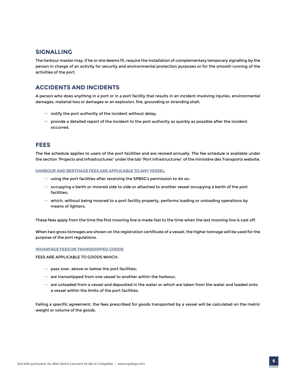### **SIGNALLING**

The harbour master may, if he or she deems fit, require the installation of complementary temporary signalling by the person in charge of an activity for security and environmental protection purposes or for the smooth running of the activities of the port.

# **ACCIDENTS AND INCIDENTS**

A person who does anything in a port or in a port facility that results in an incident involving injuries, environmental damages, material loss or damages or an explosion, fire, grounding or stranding shall:

- $\lnot$  notify the port authority of the incident without delay;
- $\neg$  provide a detailed report of the incident to the port authority as quickly as possible after the incident occurred.

## **FEES**

The fee schedule applies to users of the port facilities and are revised annually. The fee schedule is available under the section "Projects and infrastructures" under the tab "Port infrastructures" of the ministère des Transports website.

**HARBOUR AND BERTHAGE FEES ARE APPLICABLE TO ANY VESSEL:**

- $\neg$  using the port facilities after receiving the SPBSG's permission to do so;
- $\neg$  occupying a berth or moored side to side or attached to another vessel occupying a berth of the port facilities;
- $\neg$  which, without being moored to a port facility property, performs loading or unloading operations by means of lighters.

These fees apply from the time the first mooring line is made fast to the time when the last mooring line is cast off.

When two gross tonnages are shown on the registration certificate of a vessel, the higher tonnage will be used for the purpose of the port regulations.

#### **WHARFAGE FEES ON TRANSSHIPPED GOODS**

FEES ARE APPLICABLE TO GOODS WHICH:

- $\neg$  pass over, above or below the port facilities;
- $\neg$  are transshipped from one vessel to another within the harbour;
- $\neg$  are unloaded from a vessel and deposited in the water or which are taken from the water and loaded onto a vessel within the limits of the port facilities.

Failing a specific agreement, the fees prescribed for goods transported by a vessel will be calculated on the metric weight or volume of the goods.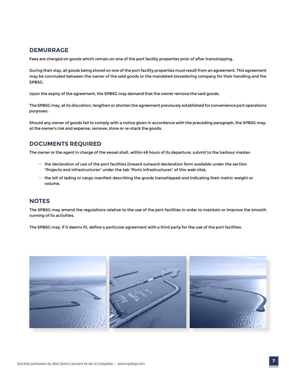## **DEMURRAGE**

Fees are charged on goods which remain on one of the port facility properties prior of after transshipping.

During their stay, all goods being stored on one of the port facility properties must result from an agreement. This agreement may be concluded between the owner of the said goods or the mandated stevedoring company for their handling and the SPBSG.

Upon the expiry of the agreement, the SPBSG may demand that the owner remove the said goods.

The SPBSG may, at its discretion, lengthen or shorten the agreement previously established for convenience port operations purposes.

Should any owner of goods fail to comply with a notice given in accordance with the preceding paragraph, the SPBSG may, at the owner's risk and expense, remove, store or re-stack the goods.

## **DOCUMENTS REQUIRED**

The owner or the agent in charge of the vessel shall, within 48 hours of its departure, submit to the harbour master:

- $\neg$  the declaration of use of the port facilities (inward outward declaration form available under the section "Projects and infrastructures" under the tab "Ports infrastructures" of this web site);
- $\neg$  the bill of lading or cargo manifest describing the goods transshipped and indicating their metric weight or volume.

#### **NOTES**

The SPBSG may amend the regulations relative to the use of the port facilities in order to maintain or improve the smooth running of its activities.

The SPBSG may, if it deems fit, define a particular agreement with a third party for the use of the port facilities.